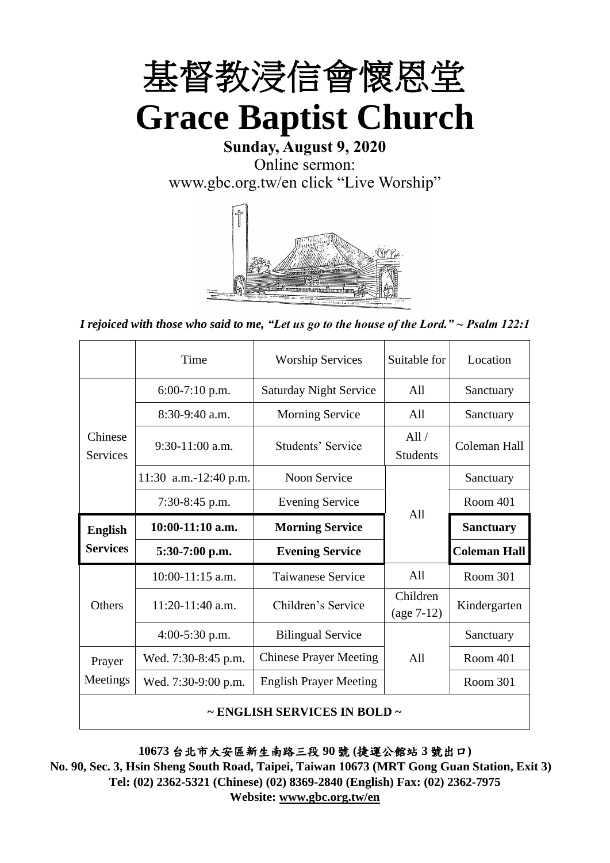

**Sunday, August 9, 2020** Online sermon: [www.gbc.org.tw/en](http://www.gbc.org.tw/en) click "Live Worship"



*I rejoiced with those who said to me, "Let us go to the house of the Lord." ~ Psalm 122:1*

|                            | Time                  | <b>Worship Services</b>       | Suitable for             | Location            |
|----------------------------|-----------------------|-------------------------------|--------------------------|---------------------|
|                            | $6:00-7:10$ p.m.      | <b>Saturday Night Service</b> | All                      | Sanctuary           |
|                            | $8:30-9:40$ a.m.      | <b>Morning Service</b>        | All                      | Sanctuary           |
| Chinese<br><b>Services</b> | $9:30-11:00$ a.m.     | Students' Service             | All/<br><b>Students</b>  | Coleman Hall        |
|                            | 11:30 a.m.-12:40 p.m. | Noon Service                  |                          | Sanctuary           |
|                            | 7:30-8:45 p.m.        | <b>Evening Service</b>        | A11                      | Room 401            |
|                            |                       |                               |                          |                     |
| <b>English</b>             | $10:00-11:10$ a.m.    | <b>Morning Service</b>        |                          | <b>Sanctuary</b>    |
| <b>Services</b>            | $5:30-7:00$ p.m.      | <b>Evening Service</b>        |                          | <b>Coleman Hall</b> |
|                            | $10:00-11:15$ a.m.    | <b>Taiwanese Service</b>      | A11                      | Room 301            |
| Others                     | 11:20-11:40 a.m.      | Children's Service            | Children<br>$(age 7-12)$ | Kindergarten        |
|                            | $4:00-5:30$ p.m.      | <b>Bilingual Service</b>      |                          | Sanctuary           |
| Prayer                     | Wed. 7:30-8:45 p.m.   | <b>Chinese Prayer Meeting</b> | A11                      | Room 401            |
| Meetings                   | Wed. 7:30-9:00 p.m.   | <b>English Prayer Meeting</b> |                          | Room 301            |

**10673** 台北市大安區新生南路三段 **90** 號 **(**捷運公館站 **3** 號出口**)**

**No. 90, Sec. 3, Hsin Sheng South Road, Taipei, Taiwan 10673 (MRT Gong Guan Station, Exit 3) Tel: (02) 2362-5321 (Chinese) (02) 8369-2840 (English) Fax: (02) 2362-7975 Website: [www.gbc.org.tw/en](http://www.gbc.org.tw/en)**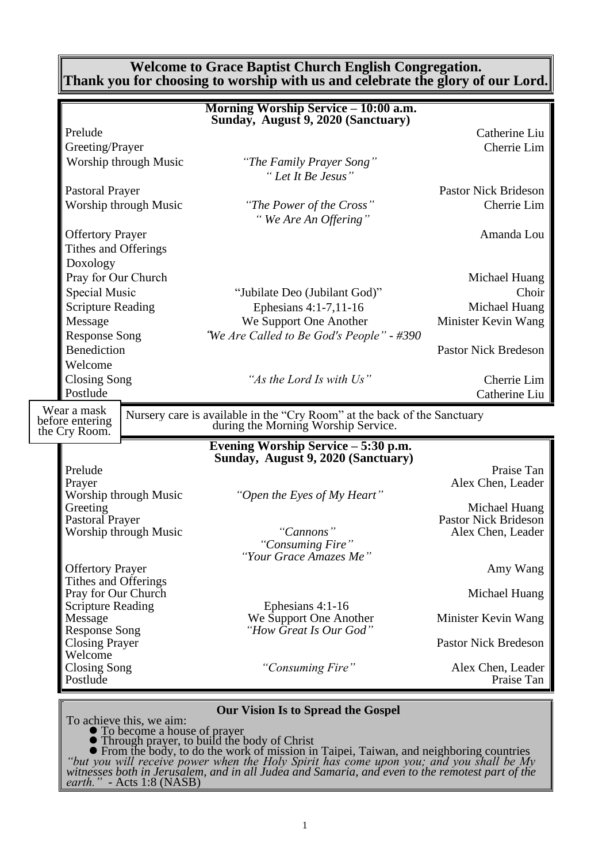**Welcome to Grace Baptist Church English Congregation. Thank you for choosing to worship with us and celebrate the glory of our Lord.**

|                                     | Morning Worship Service - 10:00 a.m.<br>Sunday, August 9, 2020 (Sanctuary)                                                               |                                 |
|-------------------------------------|------------------------------------------------------------------------------------------------------------------------------------------|---------------------------------|
| Prelude                             |                                                                                                                                          | Catherine Liu                   |
| Greeting/Prayer                     |                                                                                                                                          | Cherrie Lim                     |
| Worship through Music               | "The Family Prayer Song"                                                                                                                 |                                 |
|                                     | "Let It Be Jesus"                                                                                                                        |                                 |
| <b>Pastoral Prayer</b>              |                                                                                                                                          | <b>Pastor Nick Brideson</b>     |
| Worship through Music               | "The Power of the Cross"                                                                                                                 | Cherrie Lim                     |
|                                     | "We Are An Offering"                                                                                                                     |                                 |
| <b>Offertory Prayer</b>             |                                                                                                                                          | Amanda Lou                      |
| Tithes and Offerings                |                                                                                                                                          |                                 |
| Doxology                            |                                                                                                                                          |                                 |
| Pray for Our Church                 |                                                                                                                                          | Michael Huang                   |
| <b>Special Music</b>                | "Jubilate Deo (Jubilant God)"                                                                                                            | Choir                           |
| <b>Scripture Reading</b>            | Ephesians 4:1-7,11-16                                                                                                                    | Michael Huang                   |
| Message                             | We Support One Another                                                                                                                   | Minister Kevin Wang             |
| <b>Response Song</b>                | "We Are Called to Be God's People" - #390                                                                                                |                                 |
| <b>Benediction</b>                  |                                                                                                                                          | <b>Pastor Nick Bredeson</b>     |
| Welcome                             |                                                                                                                                          |                                 |
| <b>Closing Song</b>                 | "As the Lord Is with Us"                                                                                                                 | Cherrie Lim                     |
| Postlude                            |                                                                                                                                          | Catherine Liu                   |
| Wear a mask<br>before entering      | Nursery care is available in the "Cry Room" at the back of the Sanctuary                                                                 |                                 |
|                                     |                                                                                                                                          |                                 |
| the Cry Room.                       | during the Morning Worship Service.                                                                                                      |                                 |
|                                     | Evening Worship Service - 5:30 p.m.                                                                                                      |                                 |
|                                     | Sunday, August 9, 2020 (Sanctuary)                                                                                                       |                                 |
| Prelude<br>Prayer                   |                                                                                                                                          | Praise Tan                      |
| Worship through Music               | "Open the Eyes of My Heart"                                                                                                              | Alex Chen, Leader               |
| Greeting                            |                                                                                                                                          | Michael Huang                   |
| <b>Pastoral Prayer</b>              |                                                                                                                                          | <b>Pastor Nick Brideson</b>     |
| Worship through Music               | "Cannons"                                                                                                                                | Alex Chen, Leader               |
|                                     | "Consuming Fire"<br>Your Grace Amazes Me                                                                                                 |                                 |
| <b>Offertory Prayer</b>             |                                                                                                                                          | Amy Wang                        |
| Tithes and Offerings                |                                                                                                                                          |                                 |
| Pray for Our Church                 |                                                                                                                                          | Michael Huang                   |
| <b>Scripture Reading</b><br>Message | Ephesians 4:1-16                                                                                                                         |                                 |
| <b>Response Song</b>                | We Support One Another<br>"How Great Is Our God"                                                                                         | Minister Kevin Wang             |
| <b>Closing Prayer</b>               |                                                                                                                                          | <b>Pastor Nick Bredeson</b>     |
| Welcome                             |                                                                                                                                          |                                 |
| Closing Song<br>Postlude            | "Consuming Fire"                                                                                                                         | Alex Chen, Leader<br>Praise Tan |
|                                     |                                                                                                                                          |                                 |
|                                     | <b>Our Vision Is to Spread the Gospel</b>                                                                                                |                                 |
| To achieve this, we aim:            |                                                                                                                                          |                                 |
| To become a house of prayer         | • Through prayer, to build the body of Christ<br>• From the body, to do the work of mission in Taipei, Taiwan, and neighboring countries |                                 |

*"but you will receive power when the Holy Spirit has come upon you; and you shall be My witnesses both in Jerusalem, and in all Judea and Samaria, and even to the remotest part of the earth." -* Acts 1:8 (NASB)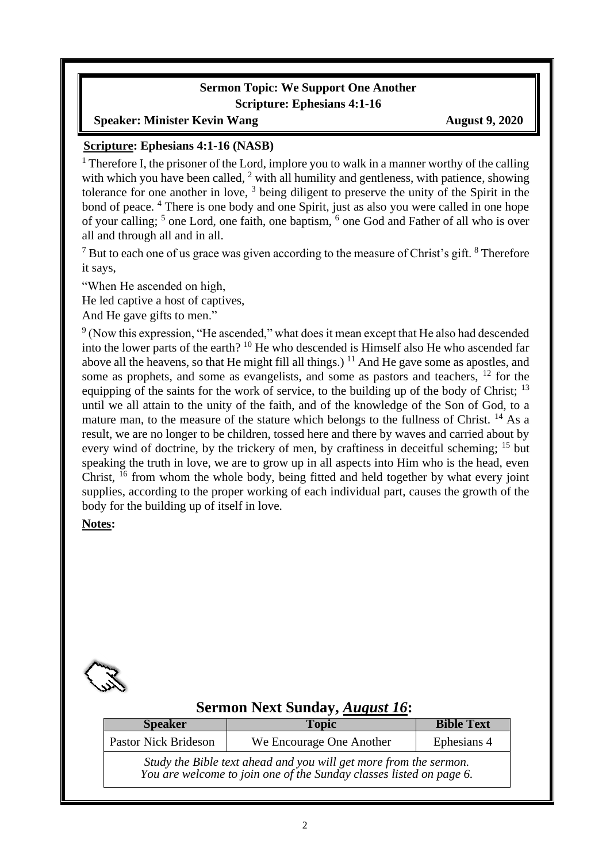### **Sermon Topic: We Support One Another Scripture: Ephesians 4:1-16**

#### **Speaker:** Minister Kevin Wang August 9, 2020

#### **Scripture: Ephesians 4:1-16 (NASB)**

<sup>1</sup> Therefore I, the prisoner of the Lord, implore you to walk in a manner worthy of the calling with which you have been called, <sup>2</sup> with all humility and gentleness, with patience, showing tolerance for one another in love,  $3$  being diligent to preserve the unity of the Spirit in the bond of peace. <sup>4</sup> There is one body and one Spirit, just as also you were called in one hope of your calling; <sup>5</sup> one Lord, one faith, one baptism, <sup>6</sup> one God and Father of all who is over all and through all and in all.

 $<sup>7</sup>$  But to each one of us grace was given according to the measure of Christ's gift.  $<sup>8</sup>$  Therefore</sup></sup> it says,

"When He ascended on high,

He led captive a host of captives,

And He gave gifts to men."

<sup>9</sup> (Now this expression, "He ascended," what does it mean except that He also had descended into the lower parts of the earth? <sup>10</sup> He who descended is Himself also He who ascended far above all the heavens, so that He might fill all things.)  $<sup>11</sup>$  And He gave some as apostles, and</sup> some as prophets, and some as evangelists, and some as pastors and teachers, <sup>12</sup> for the equipping of the saints for the work of service, to the building up of the body of Christ;  $^{13}$ until we all attain to the unity of the faith, and of the knowledge of the Son of God, to a mature man, to the measure of the stature which belongs to the fullness of Christ. <sup>14</sup> As a result, we are no longer to be children, tossed here and there by waves and carried about by every wind of doctrine, by the trickery of men, by craftiness in deceitful scheming; <sup>15</sup> but speaking the truth in love, we are to grow up in all aspects into Him who is the head, even Christ,  $^{16}$  from whom the whole body, being fitted and held together by what every joint supplies, according to the proper working of each individual part, causes the growth of the body for the building up of itself in love.

#### **Notes:**



### **Sermon Next Sunday,** *August 16***:**

| <b>Speaker</b>                                                                                                                           | <b>Topic</b>             | <b>Bible Text</b> |  |
|------------------------------------------------------------------------------------------------------------------------------------------|--------------------------|-------------------|--|
| <b>Pastor Nick Brideson</b>                                                                                                              | We Encourage One Another | Ephesians 4       |  |
| Study the Bible text ahead and you will get more from the sermon.<br>You are welcome to join one of the Sunday classes listed on page 6. |                          |                   |  |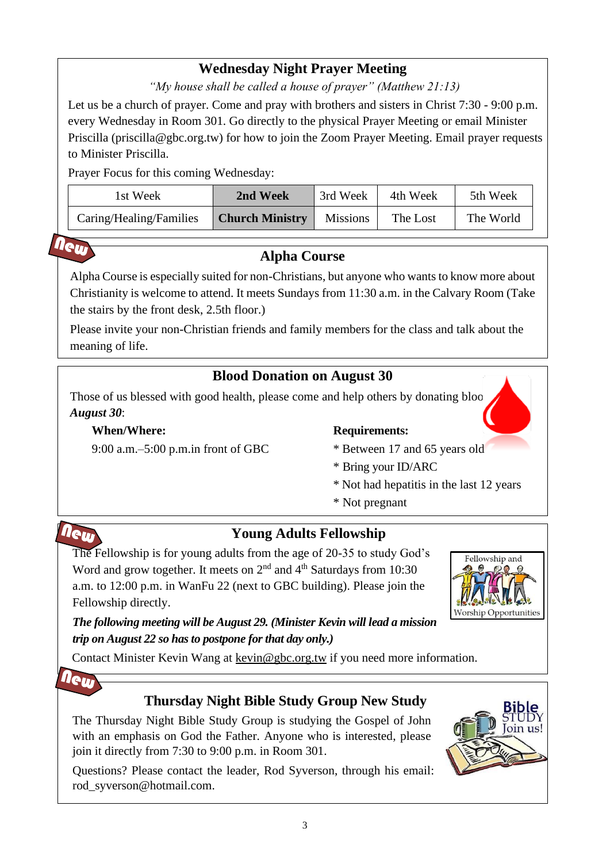# **Wednesday Night Prayer Meeting**

*"My house shall be called a house of prayer" (Matthew 21:13)*

Let us be a church of prayer. Come and pray with brothers and sisters in Christ 7:30 - 9:00 p.m. every Wednesday in Room 301. Go directly to the physical Prayer Meeting or email Minister Priscilla (priscilla@gbc.org.tw) for how to join the Zoom Prayer Meeting. Email prayer requests to Minister Priscilla.

Prayer Focus for this coming Wednesday:

| 1st Week                | 2nd Week               | 3rd Week        | 4th Week | 5th Week  |
|-------------------------|------------------------|-----------------|----------|-----------|
| Caring/Healing/Families | <b>Church Ministry</b> | <b>Missions</b> | The Lost | The World |

# **Alpha Course**

Alpha Course is especially suited for non-Christians, but anyone who wants to know more about Christianity is welcome to attend. It meets Sundays from 11:30 a.m. in the Calvary Room (Take the stairs by the front desk, 2.5th floor.)

Please invite your non-Christian friends and family members for the class and talk about the meaning of life.

# **Blood Donation on August 30**

Those of us blessed with good health, please come and help others by donating bloo *August 30*:

### **When/Where:**

9:00 a.m.–5:00 p.m.in front of GBC

### **Requirements:**

- 
- \* Between 17 and 65 years old
- \* Bring your ID/ARC
- \* Not had hepatitis in the last 12 years
- \* Not pregnant



New

# **Young Adults Fellowship**

The Fellowship is for young adults from the age of 20-35 to study God's Word and grow together. It meets on  $2<sup>nd</sup>$  and  $4<sup>th</sup>$  Saturdays from 10:30 a.m. to 12:00 p.m. in WanFu 22 (next to GBC building). Please join the Fellowship directly.



### *The following meeting will be August 29. (Minister Kevin will lead a mission trip on August 22 so has to postpone for that day only.)*

Contact Minister Kevin Wang at kevin@gbc.org.tw if you need more information.



# **Thursday Night Bible Study Group New Study**

The Thursday Night Bible Study Group is studying the Gospel of John with an emphasis on God the Father. Anyone who is interested, please join it directly from 7:30 to 9:00 p.m. in Room 301.

Questions? Please contact the leader, Rod Syverson, through his email: rod\_syverson@hotmail.com.

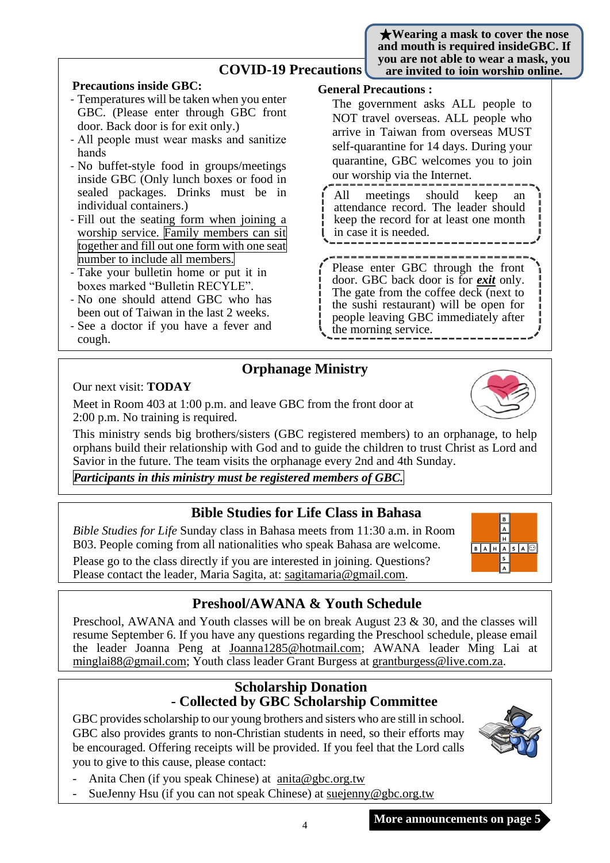★**Wearing a mask to cover the nose and mouth is required insideGBC. If you are not able to wear a mask, you are invited to join worship online.**

### **COVID-19 Precautions**

#### **Precautions inside GBC:**

- Temperatures will be taken when you enter GBC. (Please enter through GBC front door. Back door is for exit only.)
- All people must wear masks and sanitize hands
- No buffet-style food in groups/meetings inside GBC (Only lunch boxes or food in sealed packages. Drinks must be in individual containers.)
- Fill out the seating form when joining a worship service. Family members can sit together and fill out one form with one seat number to include all members.
- Take your bulletin home or put it in boxes marked "Bulletin RECYLE".
- No one should attend GBC who has been out of Taiwan in the last 2 weeks.
- See a doctor if you have a fever and cough.

#### **General Precautions :**

The government asks ALL people to NOT travel overseas. ALL people who arrive in Taiwan from overseas MUST self-quarantine for 14 days. During your quarantine, GBC welcomes you to join our worship via the Internet.

All meetings should keep an attendance record. The leader should keep the record for at least one month in case it is needed.

Please enter GBC through the front door. GBC back door is for *exit* only. The gate from the coffee deck (next to the sushi restaurant) will be open for people leaving GBC immediately after the morning service.

# **Orphanage Ministry**

Our next visit: **TODAY**

Meet in Room 403 at 1:00 p.m. and leave GBC from the front door at 2:00 p.m. No training is required.

This ministry sends big brothers/sisters (GBC registered members) to an orphanage, to help orphans build their relationship with God and to guide the children to trust Christ as Lord and Savior in the future. The team visits the orphanage every 2nd and 4th Sunday.

*Participants in this ministry must be registered members of GBC.*

### **Bible Studies for Life Class in Bahasa**

*Bible Studies for Life* Sunday class in Bahasa meets from 11:30 a.m. in Room B03. People coming from all nationalities who speak Bahasa are welcome.

Please go to the class directly if you are interested in joining. Questions? Please contact the leader, Maria Sagita, at: sagitamaria@gmail.com.

# **Preshool/AWANA & Youth Schedule**

Preschool, AWANA and Youth classes will be on break August 23 & 30, and the classes will resume September 6. If you have any questions regarding the Preschool schedule, please email the leader Joanna Peng at [Joanna1285@hotmail.com;](mailto:Joanna1285@hotmail.com) AWANA leader Ming Lai at [minglai88@gmail.com;](mailto:minglai88@gmail.com) Youth class leader Grant Burgess at grantburgess@live.com.za.

### **Scholarship Donation - Collected by GBC Scholarship Committee**

GBC provides scholarship to our young brothers and sisters who are still in school. GBC also provides grants to non-Christian students in need, so their efforts may be encouraged. Offering receipts will be provided. If you feel that the Lord calls you to give to this cause, please contact:

SueJenny Hsu (if you can not speak Chinese) at suejenny@gbc.org.tw

Anita Chen (if you speak Chinese) at anita@gbc.org.tw







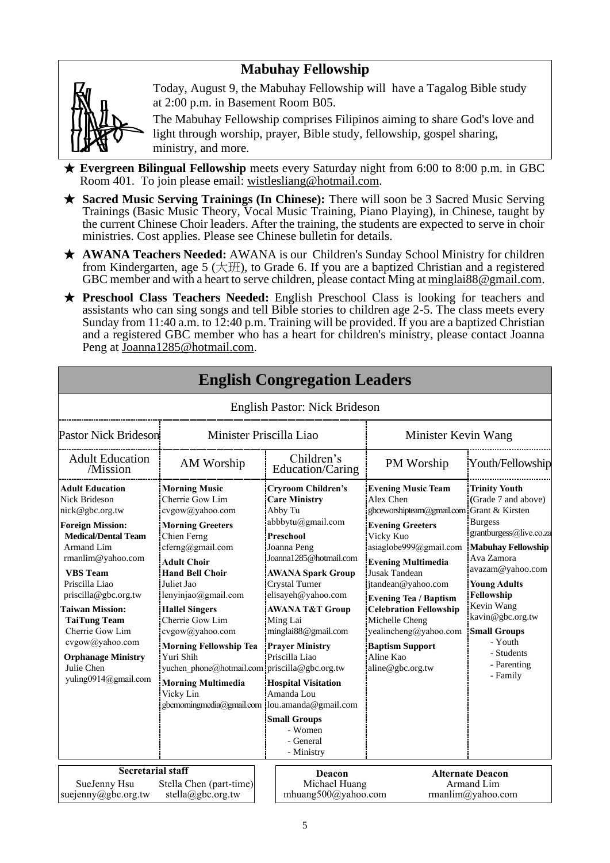# **Mabuhay Fellowship**



Today, August 9, the Mabuhay Fellowship will have a Tagalog Bible study at 2:00 p.m. in Basement Room B05.

The Mabuhay Fellowship comprises Filipinos aiming to share God's love and light through worship, prayer, Bible study, fellowship, gospel sharing, ministry, and more.

- ★ **Evergreen Bilingual Fellowship** meets every Saturday night from 6:00 to 8:00 p.m. in GBC Room 401. To join please email: [wistlesliang@hotmail.com.](mailto:wistlesliang@hotmail.com)
- ★ **Sacred Music Serving Trainings (In Chinese):** There will soon be 3 Sacred Music Serving Trainings (Basic Music Theory, Vocal Music Training, Piano Playing), in Chinese, taught by the current Chinese Choir leaders. After the training, the students are expected to serve in choir ministries. Cost applies. Please see Chinese bulletin for details.
- ★ **AWANA Teachers Needed:** AWANA is our Children's Sunday School Ministry for children from Kindergarten, age 5 (大班), to Grade 6. If you are a baptized Christian and a registered GBC member and with a heart to serve children, please contact Ming at [minglai88@gmail.com.](mailto:minglai88@gmail.com)
- ★ **Preschool Class Teachers Needed:** English Preschool Class is looking for teachers and assistants who can sing songs and tell Bible stories to children age 2-5. The class meets every Sunday from 11:40 a.m. to 12:40 p.m. Training will be provided. If you are a baptized Christian and a registered GBC member who has a heart for children's ministry, please contact Joanna Peng at Joanna1285@hotmail.com.

|                                                                                                                                                                                                                                                                                                                                                                                             |                                                                                                                                                                                                                                                                                                                                                                                                                                                                          |  | <b>English Pastor: Nick Brideson</b>                                                                                                                                                                                                                                                                                                                                                                                   |                                                                                                                                                                                                                                                                                                                                                                                                  |                                                                                                                                                                                                                                                                                                    |  |
|---------------------------------------------------------------------------------------------------------------------------------------------------------------------------------------------------------------------------------------------------------------------------------------------------------------------------------------------------------------------------------------------|--------------------------------------------------------------------------------------------------------------------------------------------------------------------------------------------------------------------------------------------------------------------------------------------------------------------------------------------------------------------------------------------------------------------------------------------------------------------------|--|------------------------------------------------------------------------------------------------------------------------------------------------------------------------------------------------------------------------------------------------------------------------------------------------------------------------------------------------------------------------------------------------------------------------|--------------------------------------------------------------------------------------------------------------------------------------------------------------------------------------------------------------------------------------------------------------------------------------------------------------------------------------------------------------------------------------------------|----------------------------------------------------------------------------------------------------------------------------------------------------------------------------------------------------------------------------------------------------------------------------------------------------|--|
| Minister Priscilla Liao<br><b>Pastor Nick Brideson</b>                                                                                                                                                                                                                                                                                                                                      |                                                                                                                                                                                                                                                                                                                                                                                                                                                                          |  |                                                                                                                                                                                                                                                                                                                                                                                                                        | Minister Kevin Wang                                                                                                                                                                                                                                                                                                                                                                              |                                                                                                                                                                                                                                                                                                    |  |
| <b>Adult Education</b><br>/Mission                                                                                                                                                                                                                                                                                                                                                          | AM Worship                                                                                                                                                                                                                                                                                                                                                                                                                                                               |  | Children's<br>Education/Caring                                                                                                                                                                                                                                                                                                                                                                                         | PM Worship                                                                                                                                                                                                                                                                                                                                                                                       | Youth/Fellowship                                                                                                                                                                                                                                                                                   |  |
| <b>Adult Education</b><br><b>Nick Brideson</b><br>nick@gbc.org.tw<br><b>Foreign Mission:</b><br><b>Medical/Dental Team</b><br><b>Armand Lim</b><br>rmanlim@yahoo.com<br><b>VBS</b> Team<br>Priscilla Liao<br>priscilla@gbc.org.tw<br><b>Taiwan Mission:</b><br><b>TaiTung Team</b><br>Cherrie Gow Lim<br>cvgow@yahoo.com<br><b>Orphanage Ministry</b><br>Julie Chen<br>yuling0914@gmail.com | <b>Morning Music</b><br>Cherrie Gow Lim<br>cvgow@yahoo.com<br><b>Morning Greeters</b><br>Chien Ferng<br>cferng@gmail.com<br><b>Adult Choir</b><br><b>Hand Bell Choir</b><br>Juliet Jao<br>lenyinjao@gmail.com<br><b>Hallel Singers</b><br>Cherrie Gow Lim<br>cvgow@yahoo.com<br><b>Morning Fellowship Tea</b><br>Yuri Shih<br>yuchen phone@hotmail.com priscilla@gbc.org.tw<br><b>Morning Multimedia</b><br>Vicky Lin<br>gbcmorningmedia@gmail.com  lou.amanda@gmail.com |  | <b>Cryroom Children's</b><br><b>Care Ministry</b><br>Abby Tu<br>abbbytu@gmail.com<br>Preschool<br>Joanna Peng<br>Joanna1285@hotmail.com<br><b>AWANA Spark Group</b><br>Crystal Turner<br>elisayeh@yahoo.com<br>AWANA T&T Group<br>Ming Lai<br>minglai88@gmail.com<br><b>Prayer Ministry</b><br>Priscilla Liao<br><b>Hospital Visitation</b><br>Amanda Lou<br><b>Small Groups</b><br>- Women<br>- General<br>- Ministry | <b>Evening Music Team</b><br>Alex Chen<br>gbceworshipteam@gmail.com Grant & Kirsten<br><b>Evening Greeters</b><br>Vicky Kuo<br>asiaglobe999@gmail.com<br><b>Evening Multimedia</b><br>Jusak Tandean<br>jtandean@yahoo.com<br><b>Evening Tea / Baptism</b><br><b>Celebration Fellowship</b><br>Michelle Cheng<br>yealincheng@yahoo.com<br><b>Baptism Support</b><br>Aline Kao<br>aline@gbc.org.tw | <b>Trinity Youth</b><br>(Grade 7 and above)<br><b>Burgess</b><br>grantburgess@live.co.za<br>Mabuhay Fellowship<br>Ava Zamora<br>avazam@yahoo.com<br><b>Young Adults</b><br>Fellowship<br>Kevin Wang<br>kavin@gbc.org.tw<br><b>Small Groups</b><br>- Youth<br>- Students<br>- Parenting<br>- Family |  |
| <b>Secretarial staff</b><br>SueJenny Hsu<br>Stella Chen (part-time)<br>suejenny@gbc.org.tw<br>stella@gbc.org.tw                                                                                                                                                                                                                                                                             |                                                                                                                                                                                                                                                                                                                                                                                                                                                                          |  | Deacon<br>Michael Huang<br>mhuang500@yahoo.com                                                                                                                                                                                                                                                                                                                                                                         |                                                                                                                                                                                                                                                                                                                                                                                                  | <b>Alternate Deacon</b><br>Armand Lim<br>rmanlim@yahoo.com                                                                                                                                                                                                                                         |  |

# **English Congregation Leaders**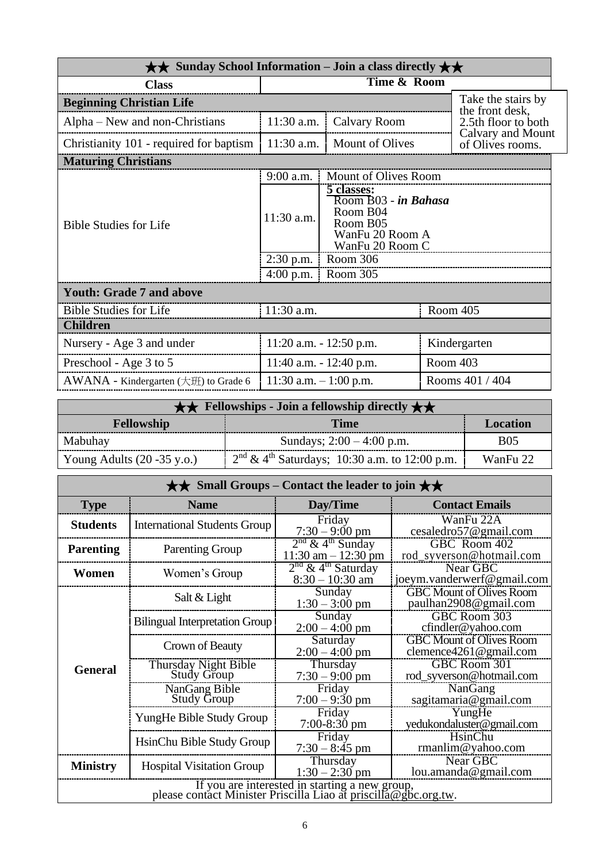| $\star\star$ Sunday School Information – Join a class directly $\star\star$ |                            |                                                                                                  |                 |                                       |
|-----------------------------------------------------------------------------|----------------------------|--------------------------------------------------------------------------------------------------|-----------------|---------------------------------------|
| <b>Class</b>                                                                | Time & Room                |                                                                                                  |                 |                                       |
| <b>Beginning Christian Life</b>                                             |                            |                                                                                                  |                 | Take the stairs by<br>the front desk, |
| Alpha – New and non-Christians                                              | 11:30 a.m.                 | Calvary Room                                                                                     |                 | 2.5th floor to both                   |
| Christianity 101 - required for baptism                                     | $11:30$ a.m.               | <b>Mount of Olives</b>                                                                           |                 | Calvary and Mount<br>of Olives rooms. |
| <b>Maturing Christians</b>                                                  |                            |                                                                                                  |                 |                                       |
|                                                                             | $9:00$ a.m.                | Mount of Olives Room                                                                             |                 |                                       |
| <b>Bible Studies for Life</b>                                               | 11:30 a.m.                 | 5 classes:<br>Room B03 - in Bahasa<br>Room B04<br>Room B05<br>WanFu 20 Room A<br>WanFu 20 Room C |                 |                                       |
|                                                                             | $2:30$ p.m.                | Room 306                                                                                         |                 |                                       |
|                                                                             | $4:00$ p.m.                | Room 305                                                                                         |                 |                                       |
| <b>Youth: Grade 7 and above</b>                                             |                            |                                                                                                  |                 |                                       |
| <b>Bible Studies for Life</b>                                               | 11:30 a.m.                 |                                                                                                  |                 | Room 405                              |
| <b>Children</b>                                                             |                            |                                                                                                  |                 |                                       |
| Nursery - Age 3 and under                                                   | $11:20$ a.m. $-12:50$ p.m. |                                                                                                  |                 | Kindergarten                          |
| Preschool - Age 3 to 5                                                      |                            | $11:40$ a.m. $-12:40$ p.m.                                                                       |                 | Room 403                              |
| AWANA - Kindergarten $(\pm \text{H})$ to Grade 6                            | 11:30 a.m. $-1:00$ p.m.    |                                                                                                  | Rooms 401 / 404 |                                       |

| $\star \star$ Fellowships - Join a fellowship directly $\star \star$ |                                                   |            |  |  |
|----------------------------------------------------------------------|---------------------------------------------------|------------|--|--|
| <b>Time</b><br><b>Fellowship</b><br>Location                         |                                                   |            |  |  |
| Mabuhay                                                              | Sundays; $2:00 - 4:00$ p.m.                       | <b>B05</b> |  |  |
| Young Adults $(20 - 35 \text{ y.o.})$                                | $2nd \& 4th Saturdays$ ; 10:30 a.m. to 12:00 p.m. | WanFu 22   |  |  |

| $\star\star$ Small Groups – Contact the leader to join $\star\star$ |                                                                                                                   |                                                          |                                                               |  |  |  |
|---------------------------------------------------------------------|-------------------------------------------------------------------------------------------------------------------|----------------------------------------------------------|---------------------------------------------------------------|--|--|--|
| <b>Type</b>                                                         | <b>Name</b>                                                                                                       | Day/Time                                                 | <b>Contact Emails</b>                                         |  |  |  |
| <b>Students</b>                                                     | <b>International Students Group</b>                                                                               | Friday<br>$7:30 - 9:00$ pm                               | WanFu 22A<br>cesaledro57@gmail.com                            |  |  |  |
| <b>Parenting</b>                                                    | <b>Parenting Group</b>                                                                                            | $2nd$ & 4 <sup>th</sup> Sunday<br>$11:30$ am $-12:30$ pm | GBC Room 402<br>rod_syverson@hotmail.com                      |  |  |  |
| Women                                                               | Women's Group                                                                                                     | $2nd$ & 4 <sup>th</sup> Saturday<br>$8:30 - 10:30$ am    | Near GBC<br>joeym.vanderwerf@gmail.com                        |  |  |  |
|                                                                     | Salt & Light                                                                                                      | Sunday<br>$1:30 - 3:00$ pm                               | <b>GBC Mount of Olives Room</b><br>paulhan2908@gmail.com      |  |  |  |
|                                                                     | <b>Bilingual Interpretation Group</b>                                                                             | Sunday<br>$2:00 - 4:00$ pm                               | GBC Room 303<br>cfindler@yahoo.com                            |  |  |  |
|                                                                     | Crown of Beauty                                                                                                   | Saturday<br>$2:00 - 4:00$ pm                             | <b>GBC Mount of Olives Room</b><br>clemence $4261$ @gmail.com |  |  |  |
| <b>General</b>                                                      | Thursday Night Bible<br><b>Study Group</b>                                                                        | Thursday<br>$7:30 - 9:00$ pm                             | GBC Room 301<br>rod_syverson@hotmail.com                      |  |  |  |
|                                                                     | NanGang Bible<br><b>Study Group</b>                                                                               | Friday<br>$7:00 - 9:30$ pm                               | NanGang<br>sagitamaria@gmail.com                              |  |  |  |
|                                                                     | YungHe Bible Study Group                                                                                          | Friday<br>7:00-8:30 pm                                   | YungHe<br>yedukondaluster@gmail.com                           |  |  |  |
|                                                                     | HsinChu Bible Study Group                                                                                         | Friday<br>$7:30 - 8:45$ pm                               | HsinChu<br>rmanlim@yahoo.com                                  |  |  |  |
| <b>Ministry</b>                                                     | <b>Hospital Visitation Group</b>                                                                                  | Thursday<br>$1:30 - 2:30$ pm                             | Near GBC<br>lou.amanda@gmail.com                              |  |  |  |
|                                                                     | If you are interested in starting a new group,<br>please contact Minister Priscilla Liao at priscilla@gbc.org.tw. |                                                          |                                                               |  |  |  |